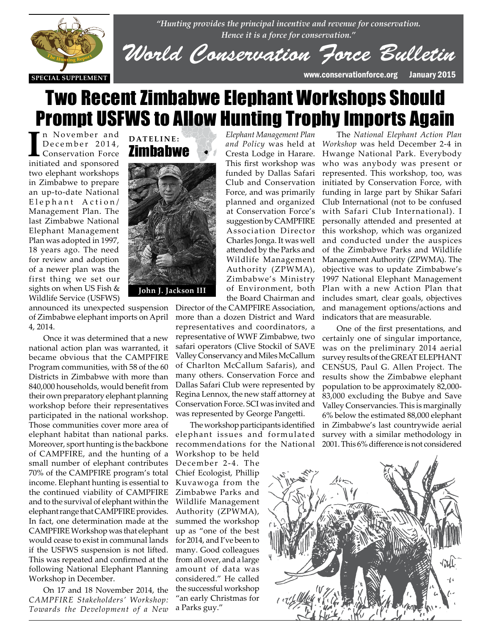



*World Conservation Force Bulletin*

## Two Recent Zimbabwe Elephant Workshops Should Prompt USFWS to Allow Hunting Trophy Imports Again

I<sup>n</sup> November and<br>
December 2014,<br>
Conservation Force<br>
initiated and sponsored n November and December 2014, Conservation Force two elephant workshops in Zimbabwe to prepare an up-to-date National Elephant Action/ Management Plan. The last Zimbabwe National Elephant Management Plan was adopted in 1997, 18 years ago. The need for review and adoption of a newer plan was the of a newer plan was the<br>first thing we set our sights on when US Fish & Wildlife Service (USFWS)





announced its unexpected suspension announced its unexpected suspension<br>of Zimbabwe elephant imports on April 4, 2014.

> Once it was determined that a new national action plan was warranted, it became obvious that the CAMPFIRE Program communities, with 58 of the 60 Districts in Zimbabwe with more than 840,000 households, would benefit from their own preparatory elephant planning workshop before their representatives participated in the national workshop. Those communities cover more area of elephant habitat than national parks. Moreover, sport hunting is the backbone of CAMPFIRE, and the hunting of a small number of elephant contributes 70% of the CAMPFIRE program's total income. Elephant hunting is essential to the continued viability of CAMPFIRE and to the survival of elephant within the elephant range that CAMPFIRE provides. In fact, one determination made at the CAMPFIRE Workshop was that elephant would cease to exist in communal lands if the USFWS suspension is not lifted. This was repeated and confirmed at the following National Elephant Planning Workshop in December.

> On 17 and 18 November 2014, the *CAMPFIRE Stakeholders' Workshop: Towards the Development of a New*

*Elephant Management Plan*  Cresta Lodge in Harare. This first workshop was funded by Dallas Safari Club and Conservation Force, and was primarily planned and organized at Conservation Force's suggestion by CAMPFIRE Association Director Charles Jonga. It was well attended by the Parks and Wildlife Management Authority (ZPWMA), Zimbabwe's Ministry of Environment, both the Board Chairman and

Director of the CAMPFIRE Association, more than a dozen District and Ward representatives and coordinators, a representative of WWF Zimbabwe, two safari operators (Clive Stockil of SAVE Valley Conservancy and Miles McCallum of Charlton McCallum Safaris), and many others. Conservation Force and Dallas Safari Club were represented by Regina Lennox, the new staff attorney at Conservation Force. SCI was invited and was represented by George Pangetti.

The workshop participants identified elephant issues and formulated recommendations for the National

Workshop to be held December 2-4. The Chief Ecologist, Phillip Kuvawoga from the Zimbabwe Parks and Wildlife Management Authority (ZPWMA), summed the workshop up as "one of the best for 2014, and I've been to many. Good colleagues from all over, and a large amount of data was considered." He called the successful workshop "an early Christmas for a Parks guy."

*and Policy* was held at *Workshop* was held December 2-4 in The *National Elephant Action Plan*  Hwange National Park. Everybody who was anybody was present or represented. This workshop, too, was initiated by Conservation Force, with funding in large part by Shikar Safari Club International (not to be confused with Safari Club International). I personally attended and presented at this workshop, which was organized and conducted under the auspices of the Zimbabwe Parks and Wildlife Management Authority (ZPWMA). The objective was to update Zimbabwe's 1997 National Elephant Management Plan with a new Action Plan that includes smart, clear goals, objectives and management options/actions and indicators that are measurable.

> One of the first presentations, and certainly one of singular importance, was on the preliminary 2014 aerial survey results of the GREAT ELEPHANT CENSUS, Paul G. Allen Project. The results show the Zimbabwe elephant population to be approximately 82,000- 83,000 excluding the Bubye and Save Valley Conservancies. This is marginally 6% below the estimated 88,000 elephant in Zimbabwe's last countrywide aerial survey with a similar methodology in 2001. This 6% difference is not considered

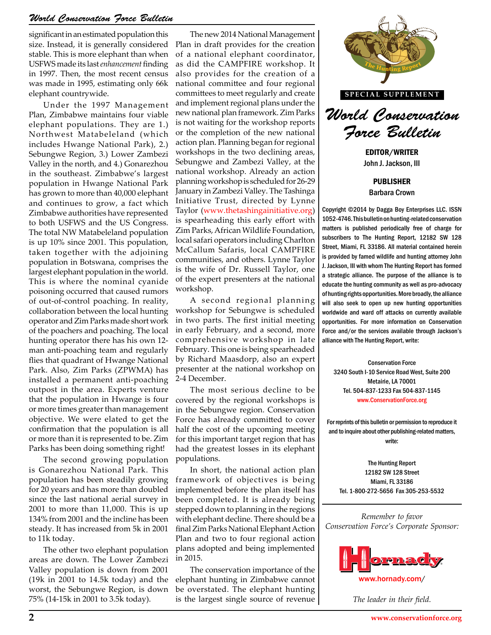significant in an estimated population this size. Instead, it is generally considered stable. This is more elephant than when USFWS made its last *enhancement* finding in 1997. Then, the most recent census was made in 1995, estimating only 66k elephant countrywide.

Under the 1997 Management Plan, Zimbabwe maintains four viable elephant populations. They are 1.) Northwest Matabeleland (which includes Hwange National Park), 2.) Sebungwe Region, 3.) Lower Zambezi Valley in the north, and 4.) Gonarezhou in the southeast. Zimbabwe's largest population in Hwange National Park has grown to more than 40,000 elephant and continues to grow, a fact which Zimbabwe authorities have represented to both USFWS and the US Congress. The total NW Matabeleland population is up 10% since 2001. This population, taken together with the adjoining population in Botswana, comprises the largest elephant population in the world. This is where the nominal cyanide poisoning occurred that caused rumors of out-of-control poaching. In reality, collaboration between the local hunting operator and Zim Parks made short work of the poachers and poaching. The local hunting operator there has his own 12 man anti-poaching team and regularly flies that quadrant of Hwange National Park. Also, Zim Parks (ZPWMA) has installed a permanent anti-poaching outpost in the area. Experts venture that the population in Hwange is four or more times greater than management objective. We were elated to get the confirmation that the population is all or more than it is represented to be. Zim Parks has been doing something right!

The second growing population is Gonarezhou National Park. This population has been steadily growing for 20 years and has more than doubled since the last national aerial survey in 2001 to more than 11,000. This is up 134% from 2001 and the incline has been steady. It has increased from 5k in 2001 to 11k today.

The other two elephant population areas are down. The Lower Zambezi Valley population is down from 2001 (19k in 2001 to 14.5k today) and the worst, the Sebungwe Region, is down 75% (14-15k in 2001 to 3.5k today).

The new 2014 National Management Plan in draft provides for the creation of a national elephant coordinator, as did the CAMPFIRE workshop. It also provides for the creation of a national committee and four regional committees to meet regularly and create and implement regional plans under the new national plan framework. Zim Parks is not waiting for the workshop reports or the completion of the new national action plan. Planning began for regional workshops in the two declining areas, Sebungwe and Zambezi Valley, at the national workshop. Already an action planning workshop is scheduled for 26-29 January in Zambezi Valley. The Tashinga Initiative Trust, directed by Lynne Taylor (www.thetashingainitiative.org) is spearheading this early effort with Zim Parks, African Wildlife Foundation, local safari operators including Charlton McCallum Safaris, local CAMPFIRE communities, and others. Lynne Taylor is the wife of Dr. Russell Taylor, one of the expert presenters at the national workshop.

A second regional planning workshop for Sebungwe is scheduled in two parts. The first initial meeting in early February, and a second, more comprehensive workshop in late February. This one is being spearheaded by Richard Maasdorp, also an expert presenter at the national workshop on 2-4 December.

The most serious decline to be covered by the regional workshops is in the Sebungwe region. Conservation Force has already committed to cover half the cost of the upcoming meeting for this important target region that has had the greatest losses in its elephant populations.

In short, the national action plan framework of objectives is being implemented before the plan itself has been completed. It is already being stepped down to planning in the regions with elephant decline. There should be a final Zim Parks National Elephant Action Plan and two to four regional action plans adopted and being implemented in 2015.

The conservation importance of the elephant hunting in Zimbabwe cannot be overstated. The elephant hunting is the largest single source of revenue



**SPECIAL SUPPLEMENT**



EDITOR/WRITER John J. Jackson, III

PUBLISHER Barbara Crown

Copyright ©2014 by Dagga Boy Enterprises LLC. ISSN 1052-4746. This bulletin on hunting-related conservation matters is published periodically free of charge for subscribers to The Hunting Report, 12182 SW 128 Street, Miami, FL 33186. All material contained herein is provided by famed wildlife and hunting attorney John J. Jackson, III with whom The Hunting Report has formed a strategic alliance. The purpose of the alliance is to educate the hunting community as well as pro-advocacy of hunting rights opportunities. More broadly, the alliance will also seek to open up new hunting opportunities worldwide and ward off attacks on currently available opportunities. For more information on Conservation ary, and a second, more | Force and/or the services available through Jackson's<br>ive workshop in late | alliance with The Hunting Report, write:<br>**Some is being spearheaded** alliance with The Hunting Report, write:

Conservation Force 3240 South I-10 Service Road West, Suite 200 Metairie, LA 70001 Tel. 504-837-1233 Fax 504-837-1145 www.ConservationForce.org Fracture **The Metairie, LA 70001**<br> **Tel. 504-837-1233 Fax 504-837-1145**<br> **Tel. 504-837-1233 Fax 504-837-1145**<br> **Tel. 504-837-1233 Fax 504-837-1145** 

> For reprints of this bulletin or permission to reproduce it and to inquire about other publishing-related matters, write:

The Hunting Report 12182 SW 128 Street Miami, FL 33186 Tel. 1-800-272-5656 Fax 305-253-5532

*Remember to favor Conservation Force's Corporate Sponsor:*



*The leader in their field.*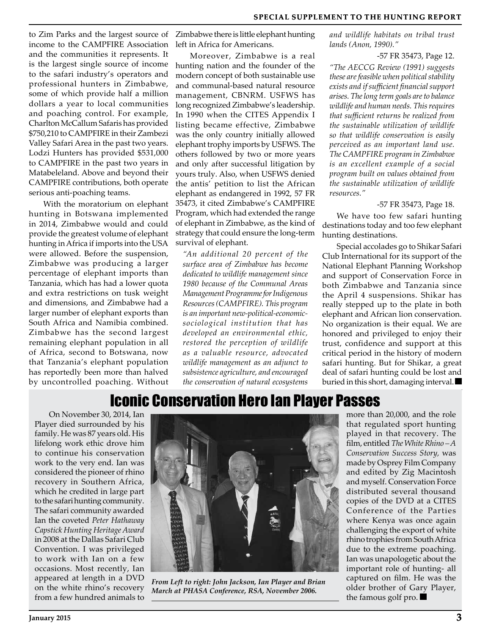to Zim Parks and the largest source of income to the CAMPFIRE Association and the communities it represents. It is the largest single source of income to the safari industry's operators and professional hunters in Zimbabwe, some of which provide half a million dollars a year to local communities and poaching control. For example, Charlton McCallum Safaris has provided \$750,210 to CAMPFIRE in their Zambezi Valley Safari Area in the past two years. Lodzi Hunters has provided \$531,000 to CAMPFIRE in the past two years in Matabeleland. Above and beyond their CAMPFIRE contributions, both operate serious anti-poaching teams.

With the moratorium on elephant hunting in Botswana implemented in 2014, Zimbabwe would and could provide the greatest volume of elephant hunting in Africa if imports into the USA were allowed. Before the suspension, Zimbabwe was producing a larger percentage of elephant imports than Tanzania, which has had a lower quota and extra restrictions on tusk weight and dimensions, and Zimbabwe had a larger number of elephant exports than South Africa and Namibia combined. Zimbabwe has the second largest remaining elephant population in all of Africa, second to Botswana, now that Tanzania's elephant population has reportedly been more than halved by uncontrolled poaching. Without

Zimbabwe there is little elephant hunting left in Africa for Americans.

Moreover, Zimbabwe is a real hunting nation and the founder of the modern concept of both sustainable use and communal-based natural resource management, CBNRM. USFWS has long recognized Zimbabwe's leadership. In 1990 when the CITES Appendix I listing became effective, Zimbabwe was the only country initially allowed elephant trophy imports by USFWS. The others followed by two or more years and only after successful litigation by yours truly. Also, when USFWS denied the antis' petition to list the African elephant as endangered in 1992, 57 FR 35473, it cited Zimbabwe's CAMPFIRE Program, which had extended the range of elephant in Zimbabwe, as the kind of strategy that could ensure the long-term survival of elephant.

*"An additional 20 percent of the surface area of Zimbabwe has become dedicated to wildlife management since 1980 because of the Communal Areas Management Programme for Indigenous Resources (CAMPFIRE). This program is an important new-political-economicsociological institution that has developed an environmental ethic, restored the perception of wildlife as a valuable resource, advocated wildlife management as an adjunct to subsistence agriculture, and encouraged the conservation of natural ecosystems* 

*and wildlife habitats on tribal trust lands (Anon, 1990)."*

#### -57 FR 35473, Page 12.

*"The AECCG Review (1991) suggests these are feasible when political stability exists and if sufficient financial support arises. The long term goals are to balance wildlife and human needs. This requires that sufficient returns be realized from the sustainable utilization of wildlife so that wildlife conservation is easily perceived as an important land use. The CAMPFIRE program in Zimbabwe is an excellent example of a social program built on values obtained from the sustainable utilization of wildlife resources."* 

#### -57 FR 35473, Page 18.

We have too few safari hunting destinations today and too few elephant hunting destinations.

Special accolades go to Shikar Safari Club International for its support of the National Elephant Planning Workshop and support of Conservation Force in both Zimbabwe and Tanzania since the April 4 suspensions. Shikar has really stepped up to the plate in both elephant and African lion conservation. No organization is their equal. We are honored and privileged to enjoy their trust, confidence and support at this critical period in the history of modern safari hunting. But for Shikar, a great deal of safari hunting could be lost and buried in this short, damaging interval.

### Iconic Conservation Hero Ian Player Passes

On November 30, 2014, Ian Player died surrounded by his family. He was 87 years old. His lifelong work ethic drove him to continue his conservation work to the very end. Ian was considered the pioneer of rhino recovery in Southern Africa, which he credited in large part to the safari hunting community. The safari community awarded Ian the coveted *Peter Hathaway Capstick Hunting Heritage Award* in 2008 at the Dallas Safari Club Convention. I was privileged to work with Ian on a few occasions. Most recently, Ian appeared at length in a DVD on the white rhino's recovery from a few hundred animals to



*From Left to right: John Jackson, Ian Player and Brian March at PHASA Conference, RSA, November 2006.*

more than 20,000, and the role that regulated sport hunting played in that recovery. The film, entitled *The White Rhino – A Conservation Success Story,* was made by Osprey Film Company and edited by Zig Macintosh and myself. Conservation Force distributed several thousand copies of the DVD at a CITES Conference of the Parties where Kenya was once again challenging the export of white rhino trophies from South Africa due to the extreme poaching. Ian was unapologetic about the important role of hunting- all captured on film. He was the older brother of Gary Player, the famous golf pro.